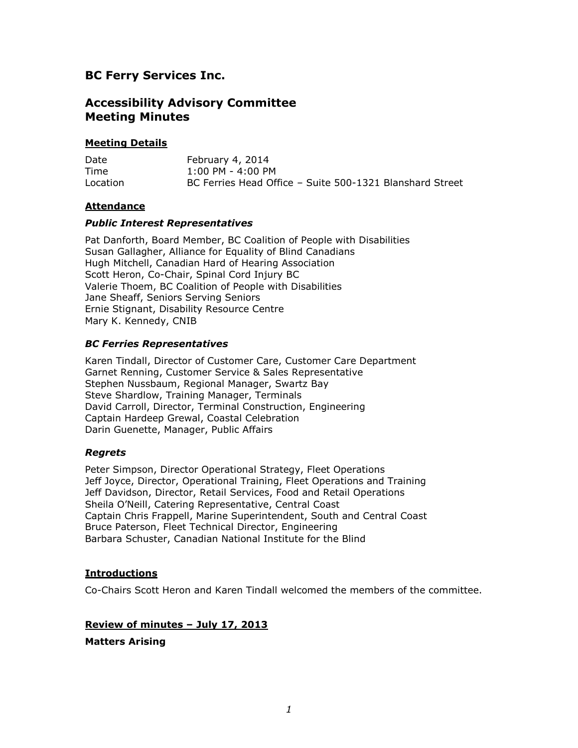# **BC Ferry Services Inc.**

## **Accessibility Advisory Committee Meeting Minutes**

### **Meeting Details**

| Date     | February 4, 2014                                         |
|----------|----------------------------------------------------------|
| Time     | $1:00$ PM - 4:00 PM                                      |
| Location | BC Ferries Head Office - Suite 500-1321 Blanshard Street |

### **Attendance**

#### *Public Interest Representatives*

Pat Danforth, Board Member, BC Coalition of People with Disabilities Susan Gallagher, Alliance for Equality of Blind Canadians Hugh Mitchell, Canadian Hard of Hearing Association Scott Heron, Co-Chair, Spinal Cord Injury BC Valerie Thoem, BC Coalition of People with Disabilities Jane Sheaff, Seniors Serving Seniors Ernie Stignant, Disability Resource Centre Mary K. Kennedy, CNIB

### *BC Ferries Representatives*

Karen Tindall, Director of Customer Care, Customer Care Department Garnet Renning, Customer Service & Sales Representative Stephen Nussbaum, Regional Manager, Swartz Bay Steve Shardlow, Training Manager, Terminals David Carroll, Director, Terminal Construction, Engineering Captain Hardeep Grewal, Coastal Celebration Darin Guenette, Manager, Public Affairs

#### *Regrets*

Peter Simpson, Director Operational Strategy, Fleet Operations Jeff Joyce, Director, Operational Training, Fleet Operations and Training Jeff Davidson, Director, Retail Services, Food and Retail Operations Sheila O'Neill, Catering Representative, Central Coast Captain Chris Frappell, Marine Superintendent, South and Central Coast Bruce Paterson, Fleet Technical Director, Engineering Barbara Schuster, Canadian National Institute for the Blind

## **Introductions**

Co-Chairs Scott Heron and Karen Tindall welcomed the members of the committee.

## **Review of minutes – July 17, 2013**

**Matters Arising**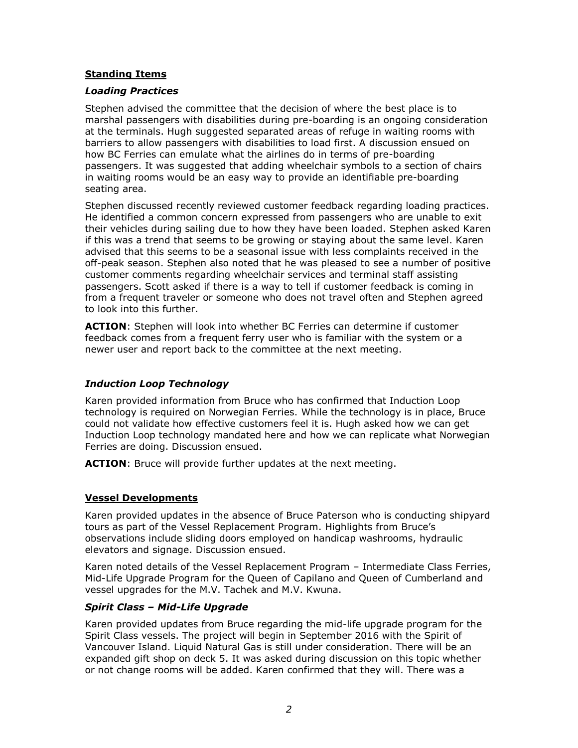#### **Standing Items**

#### *Loading Practices*

Stephen advised the committee that the decision of where the best place is to marshal passengers with disabilities during pre-boarding is an ongoing consideration at the terminals. Hugh suggested separated areas of refuge in waiting rooms with barriers to allow passengers with disabilities to load first. A discussion ensued on how BC Ferries can emulate what the airlines do in terms of pre-boarding passengers. It was suggested that adding wheelchair symbols to a section of chairs in waiting rooms would be an easy way to provide an identifiable pre-boarding seating area.

Stephen discussed recently reviewed customer feedback regarding loading practices. He identified a common concern expressed from passengers who are unable to exit their vehicles during sailing due to how they have been loaded. Stephen asked Karen if this was a trend that seems to be growing or staying about the same level. Karen advised that this seems to be a seasonal issue with less complaints received in the off-peak season. Stephen also noted that he was pleased to see a number of positive customer comments regarding wheelchair services and terminal staff assisting passengers. Scott asked if there is a way to tell if customer feedback is coming in from a frequent traveler or someone who does not travel often and Stephen agreed to look into this further.

**ACTION**: Stephen will look into whether BC Ferries can determine if customer feedback comes from a frequent ferry user who is familiar with the system or a newer user and report back to the committee at the next meeting.

## *Induction Loop Technology*

Karen provided information from Bruce who has confirmed that Induction Loop technology is required on Norwegian Ferries. While the technology is in place, Bruce could not validate how effective customers feel it is. Hugh asked how we can get Induction Loop technology mandated here and how we can replicate what Norwegian Ferries are doing. Discussion ensued.

**ACTION**: Bruce will provide further updates at the next meeting.

## **Vessel Developments**

Karen provided updates in the absence of Bruce Paterson who is conducting shipyard tours as part of the Vessel Replacement Program. Highlights from Bruce's observations include sliding doors employed on handicap washrooms, hydraulic elevators and signage. Discussion ensued.

Karen noted details of the Vessel Replacement Program – Intermediate Class Ferries, Mid-Life Upgrade Program for the Queen of Capilano and Queen of Cumberland and vessel upgrades for the M.V. Tachek and M.V. Kwuna.

#### *Spirit Class – Mid-Life Upgrade*

Karen provided updates from Bruce regarding the mid-life upgrade program for the Spirit Class vessels. The project will begin in September 2016 with the Spirit of Vancouver Island. Liquid Natural Gas is still under consideration. There will be an expanded gift shop on deck 5. It was asked during discussion on this topic whether or not change rooms will be added. Karen confirmed that they will. There was a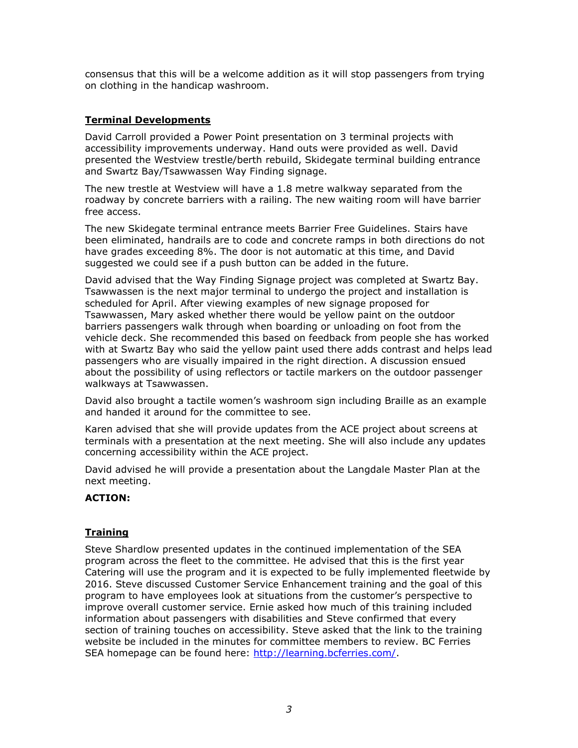consensus that this will be a welcome addition as it will stop passengers from trying on clothing in the handicap washroom.

## **Terminal Developments**

David Carroll provided a Power Point presentation on 3 terminal projects with accessibility improvements underway. Hand outs were provided as well. David presented the Westview trestle/berth rebuild, Skidegate terminal building entrance and Swartz Bay/Tsawwassen Way Finding signage.

The new trestle at Westview will have a 1.8 metre walkway separated from the roadway by concrete barriers with a railing. The new waiting room will have barrier free access.

The new Skidegate terminal entrance meets Barrier Free Guidelines. Stairs have been eliminated, handrails are to code and concrete ramps in both directions do not have grades exceeding 8%. The door is not automatic at this time, and David suggested we could see if a push button can be added in the future.

David advised that the Way Finding Signage project was completed at Swartz Bay. Tsawwassen is the next major terminal to undergo the project and installation is scheduled for April. After viewing examples of new signage proposed for Tsawwassen, Mary asked whether there would be yellow paint on the outdoor barriers passengers walk through when boarding or unloading on foot from the vehicle deck. She recommended this based on feedback from people she has worked with at Swartz Bay who said the yellow paint used there adds contrast and helps lead passengers who are visually impaired in the right direction. A discussion ensued about the possibility of using reflectors or tactile markers on the outdoor passenger walkways at Tsawwassen.

David also brought a tactile women's washroom sign including Braille as an example and handed it around for the committee to see.

Karen advised that she will provide updates from the ACE project about screens at terminals with a presentation at the next meeting. She will also include any updates concerning accessibility within the ACE project.

David advised he will provide a presentation about the Langdale Master Plan at the next meeting.

## **ACTION:**

## **Training**

Steve Shardlow presented updates in the continued implementation of the SEA program across the fleet to the committee. He advised that this is the first year Catering will use the program and it is expected to be fully implemented fleetwide by 2016. Steve discussed Customer Service Enhancement training and the goal of this program to have employees look at situations from the customer's perspective to improve overall customer service. Ernie asked how much of this training included information about passengers with disabilities and Steve confirmed that every section of training touches on accessibility. Steve asked that the link to the training website be included in the minutes for committee members to review. BC Ferries SEA homepage can be found here: [http://learning.bcferries.com/.](http://learning.bcferries.com/)